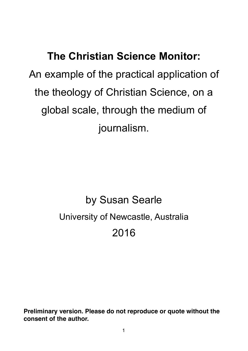**The Christian Science Monitor:**  An example of the practical application of the theology of Christian Science, on a global scale, through the medium of journalism.

# by Susan Searle University of Newcastle, Australia 2016

**Preliminary version. Please do not reproduce or quote without the consent of the author.**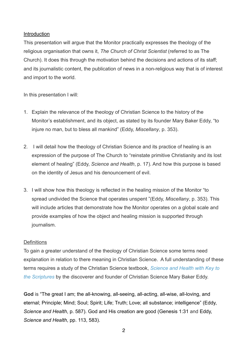## Introduction

This presentation will argue that the Monitor practically expresses the theology of the religious organisation that owns it, *The Church of Christ Scientist* (referred to as The Church). It does this through the motivation behind the decisions and actions of its staff; and its journalistic content, the publication of news in a non-religious way that is of interest and import to the world.

In this presentation I will:

- 1. Explain the relevance of the theology of Christian Science to the history of the Monitor's establishment, and its object, as stated by its founder Mary Baker Eddy, "to injure no man, but to bless all mankind" (Eddy, *Miscellany*, p. 353).
- 2. I will detail how the theology of Christian Science and its practice of healing is an expression of the purpose of The Church to "reinstate primitive Christianity and its lost element of healing" (Eddy, *Science and Health*, p. 17). And how this purpose is based on the identity of Jesus and his denouncement of evil.
- 3. I will show how this theology is reflected in the healing mission of the Monitor "to spread undivided the Science that operates unspent "(Eddy, *Miscellany*, p. 353). This will include articles that demonstrate how the Monitor operates on a global scale and provide examples of how the object and healing mission is supported through journalism.

# **Definitions**

To gain a greater understand of the theology of Christian Science some terms need explanation in relation to there meaning in Christian Science. A full understanding of these terms requires a study of the Christian Science textbook, *Science and Health with Key to the Scriptures* [by the discoverer and founder of Christian Science Mary Baker Eddy.](http://christianscience.com/read-online/science-and-health) 

**God** is "The great I am; the all-knowing, all-seeing, all-acting, all-wise, all-loving, and eternal; Principle; Mind; Soul; Spirit; Life; Truth; Love; all substance; intelligence" (Eddy, *Science and Health*, p. 587). God and His creation are good (Genesis 1:31 and Eddy, *Science and Health*, pp. 113, 583).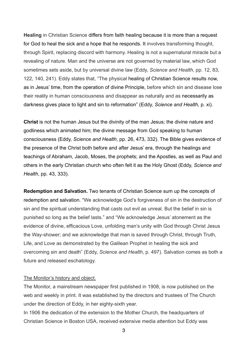**Healing** in Christian Science differs from faith healing because it is more than a request for God to heal the sick and a hope that he responds. It involves transforming thought, through Spirit, replacing discord with harmony. Healing is not a supernatural miracle but a revealing of nature. Man and the universe are not governed by material law, which God sometimes sets aside, but by universal divine law (Eddy, *Science and Health*, pp. 12, 83, 122, 140, 241). Eddy states that, "The physical healing of Christian Science results now, as in Jesus' time, from the operation of divine Principle, before which sin and disease lose their reality in human consciousness and disappear as naturally and as necessarily as darkness gives place to light and sin to reformation" (Eddy, *Science and Health*, p. xi).

**Christ** is not the human Jesus but the divinity of the man Jesus; the divine nature and godliness which animated him; the divine message from God speaking to human consciousness (Eddy, *Science and Health*, pp. 26, 473, 332). The Bible gives evidence of the presence of the Christ both before and after Jesus' era, through the healings and teachings of Abraham, Jacob, Moses, the prophets; and the Apostles, as well as Paul and others in the early Christian church who often felt it as the Holy Ghost (Eddy, *Science and Health*, pp. 43, 333).

**Redemption and Salvation.** Two tenants of Christian Science sum up the concepts of redemption and salvation. "We acknowledge God's forgiveness of sin in the destruction of sin and the spiritual understanding that casts out evil as unreal. But the belief in sin is punished so long as the belief lasts." and "We acknowledge Jesus' atonement as the evidence of divine, efficacious Love, unfolding man's unity with God through Christ Jesus the Way-shower; and we acknowledge that man is saved through Christ, through Truth, Life, and Love as demonstrated by the Galilean Prophet in healing the sick and overcoming sin and death" (Eddy, *Science and Health*, p. 497). Salvation comes as both a future and released eschatology.

#### The Monitor's history and object.

The Monitor, a mainstream newspaper first published in 1908, is now published on the web and weekly in print. It was established by the directors and trustees of The Church under the direction of Eddy, in her eighty-sixth year.

In 1906 the dedication of the extension to the Mother Church, the headquarters of Christian Science in Boston USA, received extensive media attention but Eddy was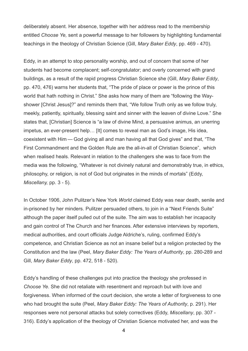deliberately absent. Her absence, together with her address read to the membership entitled *Choose Ye,* sent a powerful message to her followers by highlighting fundamental teachings in the theology of Christian Science (Gill, *Mary Baker Eddy*, pp. 469 - 470).

Eddy, in an attempt to stop personality worship, and out of concern that some of her students had become complacent; self-congratulator; and overly concerned with grand buildings, as a result of the rapid progress Christian Science she (Gill, *Mary Baker Eddy*, pp. 470, 476) warns her students that, "The pride of place or power is the prince of this world that hath nothing in Christ." She asks how many of them are "following the Wayshower [Christ Jesus]?" and reminds them that, "We follow Truth only as we follow truly, meekly, patiently, spiritually, blessing saint and sinner with the leaven of divine Love." She states that, [Christian] Science is "a law of divine Mind, a persuasive animus, an unerring impetus, an ever-present help… [It] comes to reveal man as God's image, His idea, coexistent with Him — God giving all and man having all that God gives" and that, "The First Commandment and the Golden Rule are the all-in-all of Christian Science", which when realised heals. Relevant in relation to the challengers she was to face from the media was the following, "Whatever is not divinely natural and demonstrably true, in ethics, philosophy, or religion, is not of God but originates in the minds of mortals" (Eddy, *Miscellany,* pp. 3 - 5).

In October 1906, John Pulitzer's New York *World* claimed Eddy was near death, senile and in-prisoned by her minders. Pulitzer persuaded others, to join in a "Next Friends Suite" although the paper itself pulled out of the suite. The aim was to establish her incapacity and gain control of The Church and her finances. After extensive interviews by reporters, medical authorities, and court officials Judge Aldriche's, ruling, confirmed Eddy's competence, and Christian Science as not an insane belief but a religion protected by the Constitution and the law (Peel, *Mary Baker Eddy: The Years of Authority*, pp. 280-289 and Gill, *Mary Baker Eddy*, pp. 472, 518 - 520).

Eddy's handling of these challenges put into practice the theology she professed in *Choose Ye*. She did not retaliate with resentment and reproach but with love and forgiveness. When informed of the court decision, she wrote a letter of forgiveness to one who had brought the suite (Peel, *Mary Baker Eddy: The Years of Authority*, p. 291). Her responses were not personal attacks but solely correctives (Eddy, *Miscellany*, pp. 307 - 316). Eddy's application of the theology of Christian Science motivated her, and was the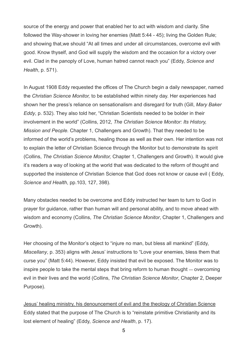source of the energy and power that enabled her to act with wisdom and clarity. She followed the Way-shower in loving her enemies (Matt 5:44 - 45); living the Golden Rule; and showing that,we should "At all times and under all circumstances, overcome evil with good. Know thyself, and God will supply the wisdom and the occasion for a victory over evil. Clad in the panoply of Love, human hatred cannot reach you" (Eddy, *Science and Health*, p. 571).

In August 1908 Eddy requested the offices of The Church begin a daily newspaper, named the *Christian Science Monitor,* to be established within ninety day. Her experiences had shown her the press's reliance on sensationalism and disregard for truth (Gill, *Mary Baker Eddy*, p. 532). They also told her, "Christian Scientists needed to be bolder in their involvement in the world" (Collins, 2012, *The Christian Science Monitor: Its History, Mission and People.* Chapter 1, Challengers and Growth). That they needed to be informed of the world's problems, healing those as well as their own. Her intention was not to explain the letter of Christian Science through the Monitor but to demonstrate its spirit (Collins, *The Christian Science Monitor,* Chapter 1, Challengers and Growth). It would give it's readers a way of looking at the world that was dedicated to the reform of thought and supported the insistence of Christian Science that God does not know or cause evil ( Eddy, *Science and Health*, pp.103, 127, 398).

Many obstacles needed to be overcome and Eddy instructed her team to turn to God in prayer for guidance, rather than human will and personal ability, and to move ahead with wisdom and economy (Collins, *The Christian Science Monitor*, Chapter 1, Challengers and Growth).

Her choosing of the Monitor's object to "injure no man, but bless all mankind" (Eddy, *Miscellany*, p. 353) aligns with Jesus' instructions to "Love your enemies, bless them that curse you" (Matt 5:44). However, Eddy insisted that evil be exposed. The Monitor was to inspire people to take the mental steps that bring reform to human thought — overcoming evil in their lives and the world (Collins, *The Christian Science Monitor*, Chapter 2, Deeper Purpose).

Jesus' healing ministry, his denouncement of evil and the theology of Christian Science Eddy stated that the purpose of The Church is to "reinstate primitive Christianity and its lost element of healing" (Eddy, *Science and Health*, p. 17).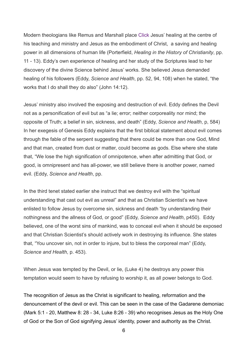Modern theologians like Remus and Marshall place Click Jesus' healing at the centre of his teaching and ministry and Jesus as the embodiment of Christ, a saving and healing power in all dimensions of human life (Porterfield, *Healing in the History of Christianity*, pp. 11 - 13). Eddy's own experience of healing and her study of the Scriptures lead to her discovery of the divine Science behind Jesus' works. She believed Jesus demanded healing of his followers (Eddy, *Science and Health*, pp. 52, 94, 108) when he stated, "the works that I do shall they do also" (John 14:12).

Jesus' ministry also involved the exposing and destruction of evil. Eddy defines the Devil not as a personification of evil but as "a lie; error; neither corporeality nor mind; the opposite of Truth; a belief in sin, sickness, and death" (Eddy, *Science and Health*, p, 584) In her exegesis of Genesis Eddy explains that the first biblical statement about evil comes through the fable of the serpent suggesting that there could be more than one God, Mind and that man, created from dust or matter, could become as gods. Else where she state that, "We lose the high signification of omnipotence, when after admitting that God, or good, is omnipresent and has all-power, we still believe there is another power, named evil. (Eddy, *Science and Health*, pp.

In the third tenet stated earlier she instruct that we destroy evil with the "spiritual understanding that cast out evil as unreal" and that as Christian Scientist's we have enlisted to follow Jesus by overcome sin, sickness and death "by understanding their nothingness and the allness of God, or good" (Eddy, *Science and Health*, p450). Eddy believed, one of the worst sins of mankind, was to conceal evil when it should be exposed and that Christian Scientist's should actively work in destroying its influence. She states that, "You uncover sin, not in order to injure, but to bless the corporeal man" (Eddy, *Science and Health*, p. 453).

When Jesus was tempted by the Devil, or lie, (Luke 4) he destroys any power this temptation would seem to have by refusing to worship it, as all power belongs to God.

The recognition of Jesus as the Christ is significant to healing, reformation and the denouncement of the devil or evil. This can be seen in the case of the Gadarene demoniac (Mark 5:1 - 20, Matthew 8: 28 - 34, Luke 8:26 - 39) who recognises Jesus as the Holy One of God or the Son of God signifying Jesus' identity, power and authority as the Christ.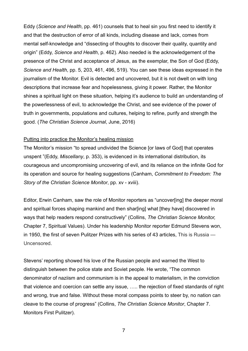Eddy (*Science and Health*, pp. 461) counsels that to heal sin you first need to identify it and that the destruction of error of all kinds, including disease and lack, comes from mental self-knowledge and "dissecting of thoughts to discover their quality, quantity and origin" (Eddy, *Science and Health*, p. 462). Also needed is the acknowledgement of the presence of the Christ and acceptance of Jesus, as the exemplar, the Son of God (Eddy, *Science and Health*, pp. 5, 203, 461, 496, 519). You can see these ideas expressed in the journalism of the Monitor. Evil is detected and uncovered, but it is not dwelt on with long descriptions that increase fear and hopelessness, giving it power. Rather, the Monitor shines a spiritual light on these situation, helping it's audience to build an understanding of the powerlessness of evil, to acknowledge the Christ, and see evidence of the power of truth in governments, populations and cultures, helping to refine, purify and strength the good. (*The Christian Science Journal*, June, 2016)

## Putting into practice the Monitor's healing mission

The Monitor's mission "to spread undivided the Science [or laws of God] that operates unspent "(Eddy, *Miscellany*, p. 353), is evidenced in its international distribution, its courageous and uncompromising uncovering of evil, and its reliance on the infinite God for its operation and source for healing suggestions (Canham, *Commitment to Freedom: The Story of the Christian Science Monitor*, pp. xv - xviii).

Editor, Erwin Canham, saw the role of Monitor reporters as "uncover[ing] the deeper moral and spiritual forces shaping mankind and then shar [ing] what [they have] discovered in ways that help readers respond constructively" (Collins, *The Christian Science Monitor,* Chapter 7, Spiritual Values). Under his leadership Monitor reporter Edmund Stevens won, in 1950, the first of seven Pulitzer Prizes with his series of 43 articles, This is Russia — Uncensored.

Stevens' reporting showed his love of the Russian people and warned the West to distinguish between the police state and Soviet people. He wrote, "The common denominator of naziism and communism is in the appeal to materialism, in the conviction that violence and coercion can settle any issue, ….. the rejection of fixed standards of right and wrong, true and false. Without these moral compass points to steer by, no nation can cleave to the course of progress" (Collins, *The Christian Science Monitor*, Chapter 7. Monitors First Pulitzer).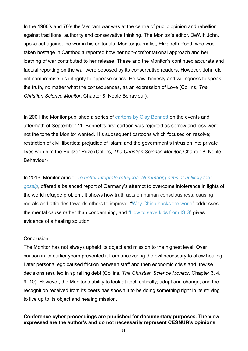In the 1960's and 70's the Vietnam war was at the centre of public opinion and rebellion against traditional authority and conservative thinking. The Monitor's editor, DeWitt John, spoke out against the war in his editorials. Monitor journalist, Elizabeth Pond, who was taken hostage in Cambodia reported how her non-confrontational approach and her loathing of war contributed to her release. These and the Monitor's continued accurate and factual reporting on the war were opposed by its conservative readers. However, John did not compromise his integrity to appease critics. He saw, honesty and willingness to speak the truth, no matter what the consequences, as an expression of Love (Collins, *The Christian Science Monitor*, Chapter 8, Noble Behaviour).

In 2001 the Monitor published a series of [cartons by Clay Bennett](http://www.csmonitor.com/Photo-Galleries/CSM-Galleries/Clay-Bennett-Pulitzer-Prize-Cartoons#231699) on the events and aftermath of September 11. Bennett's first cartoon was rejected as sorrow and loss were not the tone the Monitor wanted. His subsequent cartoons which focused on resolve; restriction of civil liberties; prejudice of Islam; and the government's intrusion into private lives won him the Pulitzer Prize (Collins, *The Christian Science Monitor*, Chapter 8, Noble Behaviour)

In 2016, Monitor article, *To better integrate refugees, Nuremberg aims at unlikely foe: gossip*[, offered a balanced report of Germany's attempt to overcome intolerance in ligh](http://www.csmonitor.com/World/Europe/2016/0128/To-better-integrate-refugees-Nuremberg-aims-at-unlikely-foe-gossip)ts of the world refugee problem. It shows how truth acts on human consciousness, causing morals and attitudes towards others to improve. "[Why China hacks the world](http://www.csmonitor.com/World/Asia-Pacific/2016/0131/Why-China-hacks-the-world)" addresses the mental cause rather than condemning, and ["How to save kids from ISIS](http://www.csmonitor.com/USA/Justice/2015/1003/How-to-save-kids-from-ISIS-Start-with-mom)" gives evidence of a healing solution.

#### **Conclusion**

The Monitor has not always upheld its object and mission to the highest level. Over caution in its earlier years prevented it from uncovering the evil necessary to allow healing. Later personal ego caused friction between staff and then economic crisis and unwise decisions resulted in spiralling debt (Collins, *The Christian Science Monitor*, Chapter 3, 4, 9, 10). However, the Monitor's ability to look at itself critically; adapt and change; and the recognition received from its peers has shown it to be doing something right in its striving to live up to its object and healing mission.

## **Conference cyber proceedings are published for documentary purposes. The view expressed are the author's and do not necessarily represent CESNUR's opinions**.